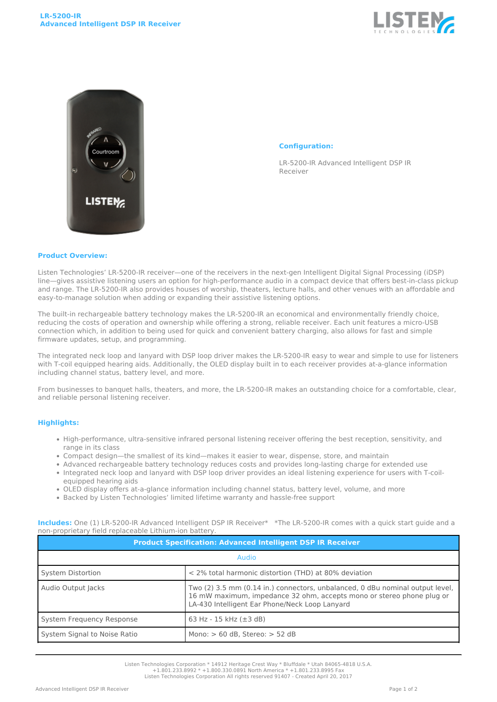



## **Configuration:**

LR-5200-IR Advanced Intelligent DSP IR Receiver

## **Product Overview:**

Listen Technologies' LR-5200-IR receiver—one of the receivers in the next-gen Intelligent Digital Signal Processing (iDSP) line—gives assistive listening users an option for high-performance audio in a compact device that offers best-in-class pickup and range. The LR-5200-IR also provides houses of worship, theaters, lecture halls, and other venues with an affordable and easy-to-manage solution when adding or expanding their assistive listening options.

The built-in rechargeable battery technology makes the LR-5200-IR an economical and environmentally friendly choice, reducing the costs of operation and ownership while offering a strong, reliable receiver. Each unit features a micro-USB connection which, in addition to being used for quick and convenient battery charging, also allows for fast and simple firmware updates, setup, and programming.

The integrated neck loop and lanyard with DSP loop driver makes the LR-5200-IR easy to wear and simple to use for listeners with T-coil equipped hearing aids. Additionally, the OLED display built in to each receiver provides at-a-glance information including channel status, battery level, and more.

From businesses to banquet halls, theaters, and more, the LR-5200-IR makes an outstanding choice for a comfortable, clear, and reliable personal listening receiver.

## **Highlights:**

- High-performance, ultra-sensitive infrared personal listening receiver offering the best reception, sensitivity, and range in its class
- Compact design—the smallest of its kind—makes it easier to wear, dispense, store, and maintain
- Advanced rechargeable battery technology reduces costs and provides long-lasting charge for extended use
- Integrated neck loop and lanyard with DSP loop driver provides an ideal listening experience for users with T-coilequipped hearing aids
- OLED display offers at-a-glance information including channel status, battery level, volume, and more
- Backed by Listen Technologies' limited lifetime warranty and hassle-free support

**Includes:** One (1) LR-5200-IR Advanced Intelligent DSP IR Receiver\* \*The LR-5200-IR comes with a quick start guide and a non-proprietary field replaceable Lithium-ion battery.

| <b>Product Specification: Advanced Intelligent DSP IR Receiver</b> |                                                                                                                                                                                                          |
|--------------------------------------------------------------------|----------------------------------------------------------------------------------------------------------------------------------------------------------------------------------------------------------|
| Audio                                                              |                                                                                                                                                                                                          |
| System Distortion                                                  | < 2% total harmonic distortion (THD) at 80% deviation                                                                                                                                                    |
| Audio Output Jacks                                                 | Two (2) 3.5 mm (0.14 in.) connectors, unbalanced, 0 dBu nominal output level,<br>16 mW maximum, impedance 32 ohm, accepts mono or stereo phone plug or<br>LA-430 Intelligent Ear Phone/Neck Loop Lanyard |
| System Frequency Response                                          | 63 Hz - 15 kHz $(\pm 3$ dB)                                                                                                                                                                              |
| System Signal to Noise Ratio                                       | Mono: $> 60$ dB, Stereo: $> 52$ dB                                                                                                                                                                       |

Listen Technologies Corporation \* 14912 Heritage Crest Way \* Bluffdale \* Utah 84065-4818 U.S.A.

+1.801.233.8992 \* +1.800.330.0891 North America \* +1.801.233.8995 Fax Listen Technologies Corporation All rights reserved 91407 - Created April 20, 2017